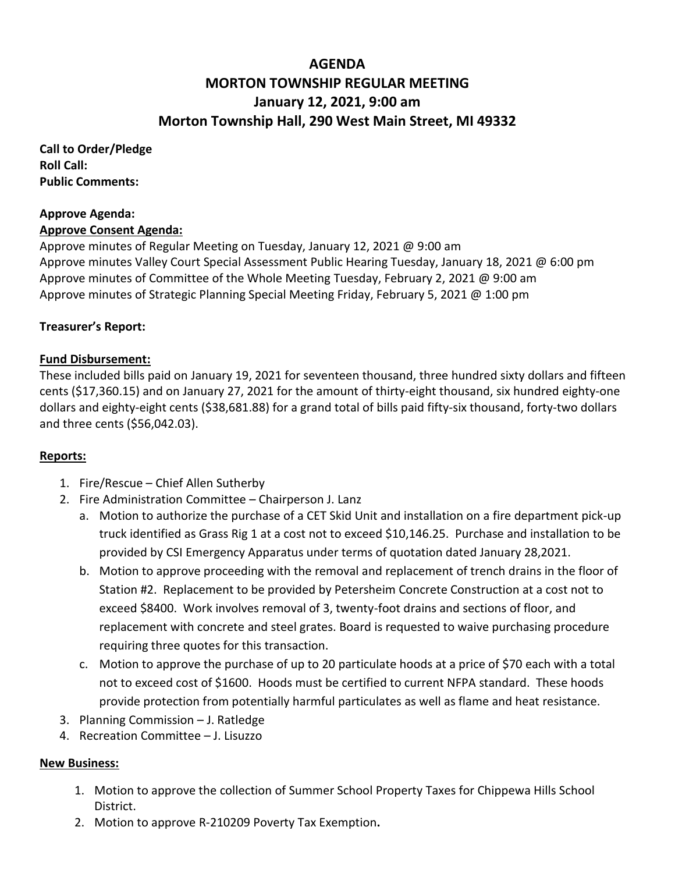# **AGENDA MORTON TOWNSHIP REGULAR MEETING January 12, 2021, 9:00 am Morton Township Hall, 290 West Main Street, MI 49332**

**Call to Order/Pledge Roll Call: Public Comments:** 

#### **Approve Agenda: Approve Consent Agenda:**

Approve minutes of Regular Meeting on Tuesday, January 12, 2021 @ 9:00 am Approve minutes Valley Court Special Assessment Public Hearing Tuesday, January 18, 2021 @ 6:00 pm Approve minutes of Committee of the Whole Meeting Tuesday, February 2, 2021 @ 9:00 am Approve minutes of Strategic Planning Special Meeting Friday, February 5, 2021 @ 1:00 pm

# **Treasurer's Report:**

### **Fund Disbursement:**

These included bills paid on January 19, 2021 for seventeen thousand, three hundred sixty dollars and fifteen cents (\$17,360.15) and on January 27, 2021 for the amount of thirty-eight thousand, six hundred eighty-one dollars and eighty-eight cents (\$38,681.88) for a grand total of bills paid fifty-six thousand, forty-two dollars and three cents (\$56,042.03).

### **Reports:**

- 1. Fire/Rescue Chief Allen Sutherby
- 2. Fire Administration Committee Chairperson J. Lanz
	- a. Motion to authorize the purchase of a CET Skid Unit and installation on a fire department pick-up truck identified as Grass Rig 1 at a cost not to exceed \$10,146.25. Purchase and installation to be provided by CSI Emergency Apparatus under terms of quotation dated January 28,2021.
	- b. Motion to approve proceeding with the removal and replacement of trench drains in the floor of Station #2. Replacement to be provided by Petersheim Concrete Construction at a cost not to exceed \$8400. Work involves removal of 3, twenty-foot drains and sections of floor, and replacement with concrete and steel grates. Board is requested to waive purchasing procedure requiring three quotes for this transaction.
	- c. Motion to approve the purchase of up to 20 particulate hoods at a price of \$70 each with a total not to exceed cost of \$1600. Hoods must be certified to current NFPA standard. These hoods provide protection from potentially harmful particulates as well as flame and heat resistance.
- 3. Planning Commission J. Ratledge
- 4. Recreation Committee J. Lisuzzo

### **New Business:**

- 1. Motion to approve the collection of Summer School Property Taxes for Chippewa Hills School District.
- 2. Motion to approve R-210209 Poverty Tax Exemption**.**